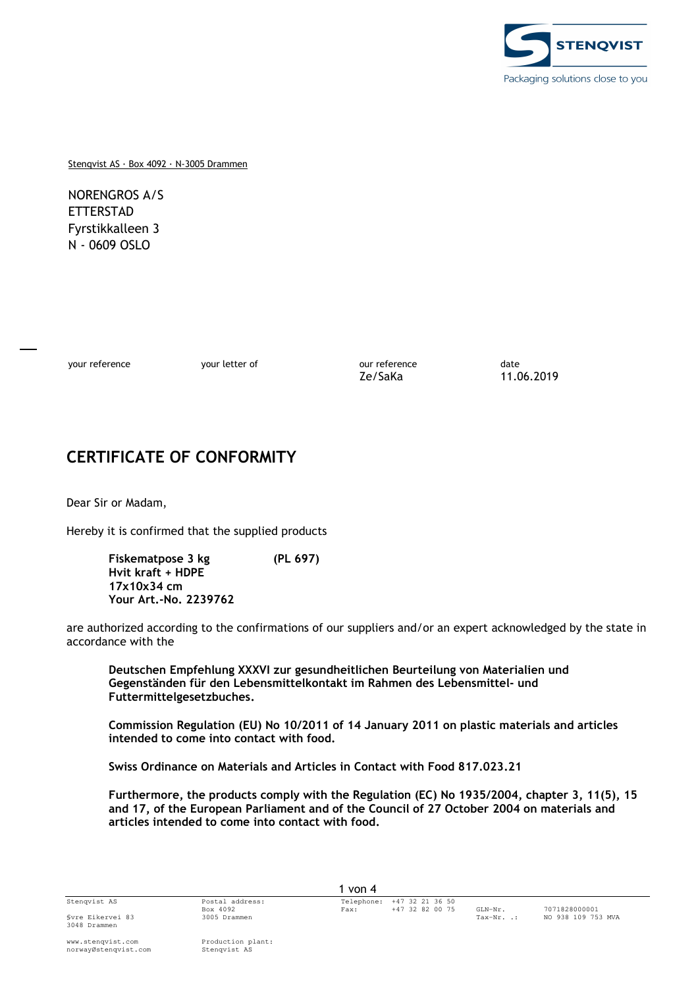

Stenqvist AS · Box 4092 · N-3005 Drammen

NORENGROS A/S ETTERSTAD Fyrstikkalleen 3 N - 0609 OSLO

your reference example and your letter of the our reference our reference date Ze/SaKa 11.06.2019

# **CERTIFICATE OF CONFORMITY**

Dear Sir or Madam,

Hereby it is confirmed that the supplied products

**Fiskematpose 3 kg (PL 697) Hvit kraft + HDPE 17x10x34 cm Your Art.-No. 2239762** 

are authorized according to the confirmations of our suppliers and/or an expert acknowledged by the state in accordance with the

**Deutschen Empfehlung XXXVI zur gesundheitlichen Beurteilung von Materialien und Gegenständen für den Lebensmittelkontakt im Rahmen des Lebensmittel- und Futtermittelgesetzbuches.** 

**Commission Regulation (EU) No 10/2011 of 14 January 2011 on plastic materials and articles intended to come into contact with food.** 

**Swiss Ordinance on Materials and Articles in Contact with Food 817.023.21** 

**Furthermore, the products comply with the Regulation (EC) No 1935/2004, chapter 3, 11(5), 15 and 17, of the European Parliament and of the Council of 27 October 2004 on materials and articles intended to come into contact with food.**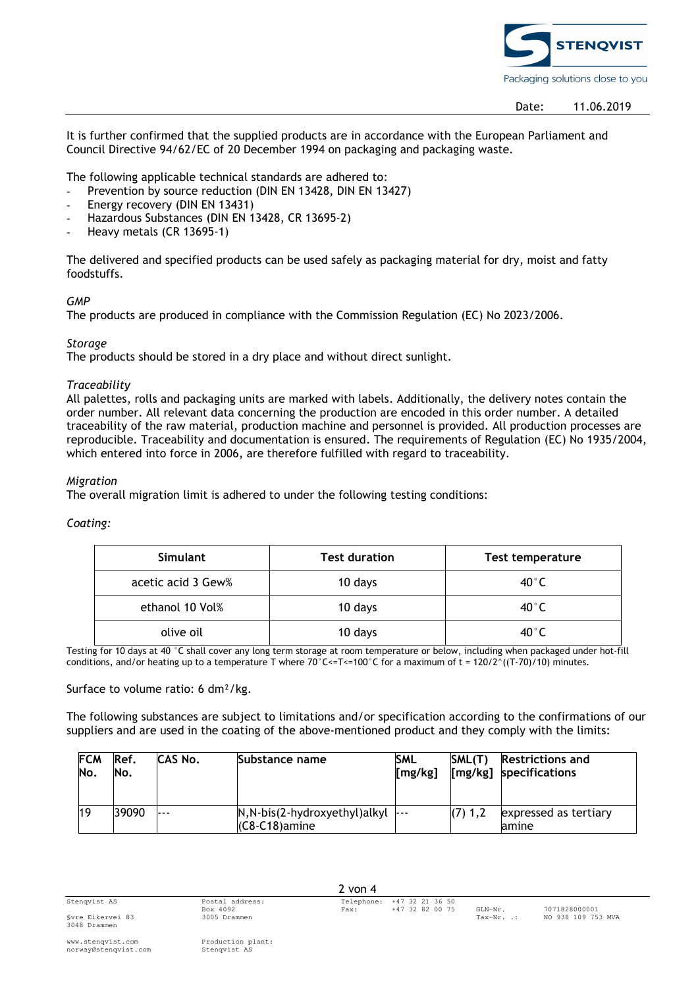

It is further confirmed that the supplied products are in accordance with the European Parliament and Council Directive 94/62/EC of 20 December 1994 on packaging and packaging waste.

The following applicable technical standards are adhered to:

- Prevention by source reduction (DIN EN 13428, DIN EN 13427)
- Energy recovery (DIN EN 13431)
- Hazardous Substances (DIN EN 13428, CR 13695-2)
- Heavy metals (CR 13695-1)

The delivered and specified products can be used safely as packaging material for dry, moist and fatty foodstuffs.

## *GMP*

The products are produced in compliance with the Commission Regulation (EC) No 2023/2006.

## *Storage*

The products should be stored in a dry place and without direct sunlight.

## *Traceability*

All palettes, rolls and packaging units are marked with labels. Additionally, the delivery notes contain the order number. All relevant data concerning the production are encoded in this order number. A detailed traceability of the raw material, production machine and personnel is provided. All production processes are reproducible. Traceability and documentation is ensured. The requirements of Regulation (EC) No 1935/2004, which entered into force in 2006, are therefore fulfilled with regard to traceability.

#### *Migration*

The overall migration limit is adhered to under the following testing conditions:

## *Coating:*

| <b>Simulant</b>    | <b>Test duration</b> | <b>Test temperature</b> |  |  |
|--------------------|----------------------|-------------------------|--|--|
| acetic acid 3 Gew% | 10 days              | $40^{\circ}$ C          |  |  |
| ethanol 10 Vol%    | 10 days              | $40^{\circ}$ C          |  |  |
| olive oil          | 10 days              | $40^{\circ}$ C          |  |  |

Testing for 10 days at 40 °C shall cover any long term storage at room temperature or below, including when packaged under hot-fill conditions, and/or heating up to a temperature T where  $70^{\circ}$ C <= T <= 100 $^{\circ}$ C for a maximum of t = 120/2 $^{\circ}$ ((T-70)/10) minutes.

#### Surface to volume ratio: 6 dm²/kg.

The following substances are subject to limitations and/or specification according to the confirmations of our suppliers and are used in the coating of the above-mentioned product and they comply with the limits:

| <b>FCM</b><br>No. | Ref.<br>No. | CAS No. | Substance name                                          | <b>SML</b><br>[mg/kg] | SML(T)  | <b>Restrictions and</b><br>[mg/kg] specifications |
|-------------------|-------------|---------|---------------------------------------------------------|-----------------------|---------|---------------------------------------------------|
|                   | 39090       | ---     | $N, N-bis(2-hydroxyethyl)alkyl$ ---<br>$(C8-C18)$ amine |                       | (7) 1.2 | expressed as tertiary<br>lamine                   |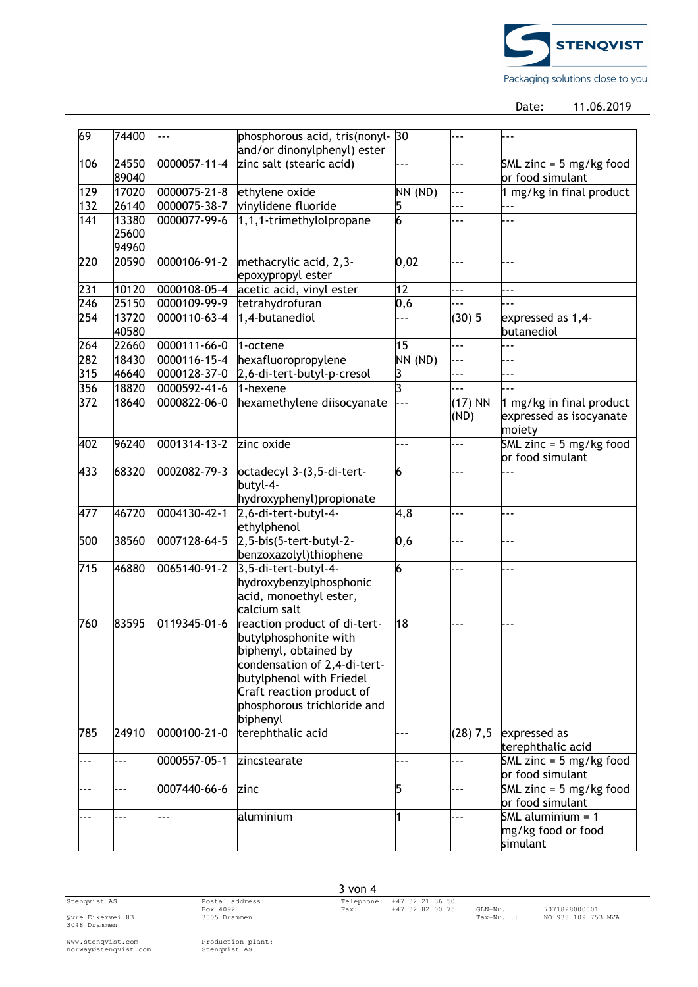

Date: 11.06.2019

| 69  | 74400          |                    | phosphorous acid, tris(nonyl-                                                                                                                                                                                      | 30                 |                                                       | $- -$                                                         |  |
|-----|----------------|--------------------|--------------------------------------------------------------------------------------------------------------------------------------------------------------------------------------------------------------------|--------------------|-------------------------------------------------------|---------------------------------------------------------------|--|
|     |                |                    | and/or dinonylphenyl) ester                                                                                                                                                                                        |                    |                                                       |                                                               |  |
| 106 | 24550<br>89040 | 0000057-11-4       | zinc salt (stearic acid)<br>.<br>$- - -$                                                                                                                                                                           |                    | SML zinc = $5 \text{ mg/kg}$ food<br>or food simulant |                                                               |  |
| 129 | 17020          | $0000075 - 21 - 8$ | ethylene oxide<br>NN (ND)                                                                                                                                                                                          |                    | ---                                                   | 1 mg/kg in final product                                      |  |
| 132 | 26140          | 0000075-38-7       | vinylidene fluoride                                                                                                                                                                                                | 5                  | $\overline{\phantom{a}}$                              | ---                                                           |  |
| 141 | 13380          | 0000077-99-6       | 1,1,1-trimethylolpropane                                                                                                                                                                                           | 6                  | $- -$                                                 | .                                                             |  |
|     | 25600<br>94960 |                    |                                                                                                                                                                                                                    |                    |                                                       |                                                               |  |
| 220 | 20590          | 0000106-91-2       | methacrylic acid, 2,3-                                                                                                                                                                                             | 0,02<br>---<br>--- |                                                       |                                                               |  |
|     |                |                    | epoxypropyl ester                                                                                                                                                                                                  |                    |                                                       |                                                               |  |
| 231 | 10120          | 0000108-05-4       | acetic acid, vinyl ester                                                                                                                                                                                           | 12                 | $\overline{a}$                                        | .                                                             |  |
| 246 | 25150          | 0000109-99-9       | tetrahydrofuran                                                                                                                                                                                                    | 0,6                |                                                       | .                                                             |  |
| 254 | 13720<br>40580 | 0000110-63-4       | 1,4-butanediol                                                                                                                                                                                                     | .                  | (30)5                                                 | expressed as 1,4-<br>butanediol                               |  |
| 264 | 22660          | $0000111 - 66 - 0$ | 1-octene                                                                                                                                                                                                           | 15                 | $- - -$                                               | $- -$                                                         |  |
| 282 | 18430          | $0000116 - 15 - 4$ | hexafluoropropylene                                                                                                                                                                                                | NN (ND)            | ---                                                   | $- -$                                                         |  |
| 315 | 46640          | 0000128-37-0       | 2,6-di-tert-butyl-p-cresol                                                                                                                                                                                         | 3                  | ---                                                   | $- -$                                                         |  |
| 356 | 18820          | 0000592-41-6       | 1-hexene                                                                                                                                                                                                           | 3                  |                                                       | .                                                             |  |
| 372 | 18640          | 0000822-06-0       | hexamethylene diisocyanate                                                                                                                                                                                         | ---                | $(17)$ NN<br>(ND)                                     | 1 mg/kg in final product<br>expressed as isocyanate<br>moiety |  |
| 402 | 96240          | 0001314-13-2       | zinc oxide                                                                                                                                                                                                         | .                  | ---                                                   | SML zinc = $5 \text{ mg/kg}$ food<br>or food simulant         |  |
| 433 | 68320          | 0002082-79-3       | octadecyl 3-(3,5-di-tert-<br>butyl-4-<br>hydroxyphenyl)propionate                                                                                                                                                  | 6                  | ---                                                   |                                                               |  |
| 477 | 46720          | 0004130-42-1       | 2,6-di-tert-butyl-4-<br>ethylphenol                                                                                                                                                                                | 4,8                | .                                                     | $- -$                                                         |  |
| 500 | 38560          | 0007128-64-5       | $2, 5$ -bis(5-tert-butyl-2-<br>benzoxazolyl)thiophene                                                                                                                                                              | 0,6                | ---                                                   | .                                                             |  |
| 715 | 46880          | 0065140-91-2       | 3,5-di-tert-butyl-4-<br>hydroxybenzylphosphonic<br>acid, monoethyl ester,<br>calcium salt                                                                                                                          | 6                  | $- -$                                                 | $-1$                                                          |  |
| 760 | 83595          | 0119345-01-6       | reaction product of di-tert-<br>butylphosphonite with<br>biphenyl, obtained by<br>condensation of 2,4-di-tert-<br>butylphenol with Friedel<br>Craft reaction product of<br>phosphorous trichloride and<br>biphenyl | 18                 |                                                       | .                                                             |  |
| 785 | 24910          | 0000100-21-0       | terephthalic acid                                                                                                                                                                                                  | $-1$               | (28) 7,5                                              | expressed as<br>terephthalic acid                             |  |
| --- | $-1$           | 0000557-05-1       | zincstearate                                                                                                                                                                                                       | .                  | $- - -$                                               | SML zinc = $5 \text{ mg/kg}$ food<br>or food simulant         |  |
| --- | $-1$           | 0007440-66-6       | zinc                                                                                                                                                                                                               | 5                  | ---                                                   | SML zinc = $5 \text{ mg/kg}$ food<br>or food simulant         |  |
|     | .              | ---                | aluminium                                                                                                                                                                                                          | 1                  | ---                                                   | SML aluminium $= 1$<br>mg/kg food or food<br>simulant         |  |

Svre Eikervei 83<br>3048 Drammen

3 von 4

www.stenqvist.com Production plant: norwayØstenqvist.com Stenqvist AS